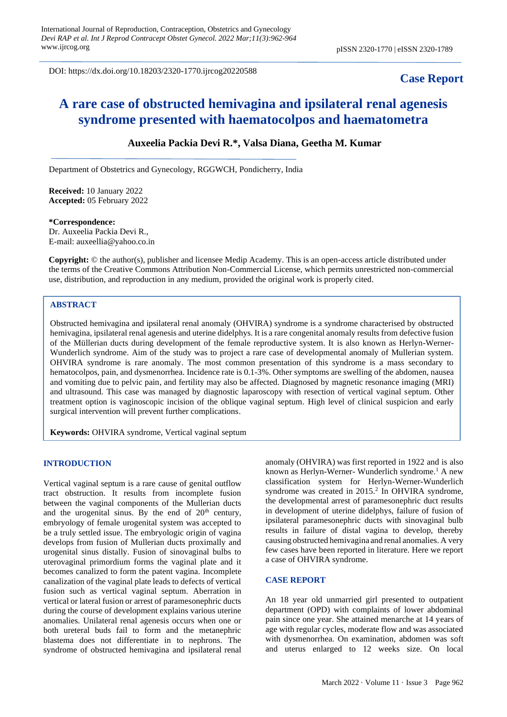DOI: https://dx.doi.org/10.18203/2320-1770.ijrcog20220588

## **Case Report**

# **A rare case of obstructed hemivagina and ipsilateral renal agenesis syndrome presented with haematocolpos and haematometra**

## **Auxeelia Packia Devi R.\*, Valsa Diana, Geetha M. Kumar**

Department of Obstetrics and Gynecology, RGGWCH, Pondicherry, India

**Received:** 10 January 2022 **Accepted:** 05 February 2022

#### **\*Correspondence:**

Dr. Auxeelia Packia Devi R., E-mail: auxeellia@yahoo.co.in

**Copyright:** © the author(s), publisher and licensee Medip Academy. This is an open-access article distributed under the terms of the Creative Commons Attribution Non-Commercial License, which permits unrestricted non-commercial use, distribution, and reproduction in any medium, provided the original work is properly cited.

## **ABSTRACT**

Obstructed hemivagina and ipsilateral renal anomaly (OHVIRA) syndrome is a syndrome characterised by obstructed hemivagina, ipsilateral renal agenesis and uterine didelphys. It is a rare congenital anomaly results from defective fusion of the Müllerian ducts during development of the female reproductive system. It is also known as Herlyn-Werner-Wunderlich syndrome. Aim of the study was to project a rare case of developmental anomaly of Mullerian system. OHVIRA syndrome is rare anomaly. The most common presentation of this syndrome is a mass secondary to hematocolpos, pain, and dysmenorrhea. Incidence rate is 0.1-3%. Other symptoms are swelling of the abdomen, nausea and vomiting due to pelvic pain, and fertility may also be affected. Diagnosed by magnetic resonance imaging (MRI) and ultrasound. This case was managed by diagnostic laparoscopy with resection of vertical vaginal septum. Other treatment option is vaginoscopic incision of the oblique vaginal septum. High level of clinical suspicion and early surgical intervention will prevent further complications.

**Keywords:** OHVIRA syndrome, Vertical vaginal septum

#### **INTRODUCTION**

Vertical vaginal septum is a rare cause of genital outflow tract obstruction. It results from incomplete fusion between the vaginal components of the Mullerian ducts and the urogenital sinus. By the end of  $20<sup>th</sup>$  century, embryology of female urogenital system was accepted to be a truly settled issue. The embryologic origin of vagina develops from fusion of Mullerian ducts proximally and urogenital sinus distally. Fusion of sinovaginal bulbs to uterovaginal primordium forms the vaginal plate and it becomes canalized to form the patent vagina. Incomplete canalization of the vaginal plate leads to defects of vertical fusion such as vertical vaginal septum. Aberration in vertical or lateral fusion or arrest of paramesonephric ducts during the course of development explains various uterine anomalies. Unilateral renal agenesis occurs when one or both ureteral buds fail to form and the metanephric blastema does not differentiate in to nephrons. The syndrome of obstructed hemivagina and ipsilateral renal anomaly (OHVIRA) was first reported in 1922 and is also known as Herlyn-Werner- Wunderlich syndrome.<sup>1</sup> A new classification system for Herlyn-Werner-Wunderlich syndrome was created in 2015.<sup>2</sup> In OHVIRA syndrome, the developmental arrest of paramesonephric duct results in development of uterine didelphys, failure of fusion of ipsilateral paramesonephric ducts with sinovaginal bulb results in failure of distal vagina to develop, thereby causing obstructed hemivagina and renal anomalies. A very few cases have been reported in literature. Here we report a case of OHVIRA syndrome.

#### **CASE REPORT**

An 18 year old unmarried girl presented to outpatient department (OPD) with complaints of lower abdominal pain since one year. She attained menarche at 14 years of age with regular cycles, moderate flow and was associated with dysmenorrhea. On examination, abdomen was soft and uterus enlarged to 12 weeks size. On local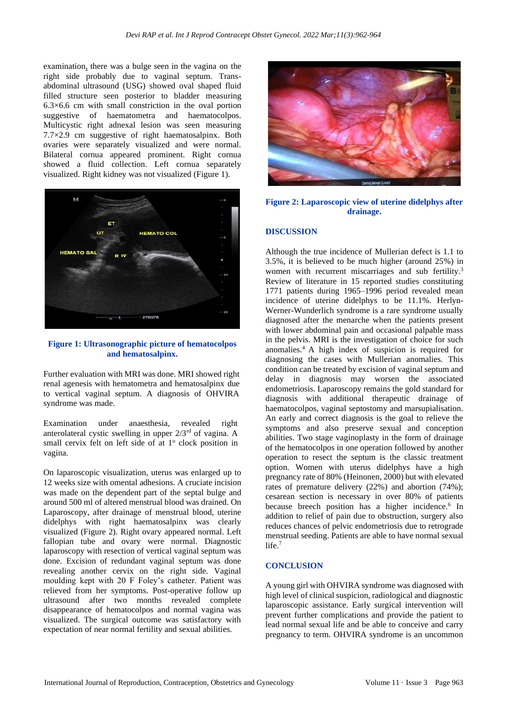examination, there was a bulge seen in the vagina on the right side probably due to vaginal septum. Transabdominal ultrasound (USG) showed oval shaped fluid filled structure seen posterior to bladder measuring 6.3×6.6 cm with small constriction in the oval portion suggestive of haematometra and haematocolpos. Multicystic right adnexal lesion was seen measuring 7.7×2.9 cm suggestive of right haematosalpinx. Both ovaries were separately visualized and were normal. Bilateral cornua appeared prominent. Right cornua showed a fluid collection. Left cornua separately visualized. Right kidney was not visualized (Figure 1).



**Figure 1: Ultrasonographic picture of hematocolpos and hematosalpinx.**

Further evaluation with MRI was done. MRI showed right renal agenesis with hematometra and hematosalpinx due to vertical vaginal septum. A diagnosis of OHVIRA syndrome was made.

Examination under anaesthesia, revealed right anterolateral cystic swelling in upper 2/3rd of vagina. A small cervix felt on left side of at  $1^\circ$  clock position in vagina.

On laparoscopic visualization, uterus was enlarged up to 12 weeks size with omental adhesions. A cruciate incision was made on the dependent part of the septal bulge and around 500 ml of altered menstrual blood was drained. On Laparoscopy, after drainage of menstrual blood, uterine didelphys with right haematosalpinx was clearly visualized (Figure 2). Right ovary appeared normal. Left fallopian tube and ovary were normal. Diagnostic laparoscopy with resection of vertical vaginal septum was done. Excision of redundant vaginal septum was done revealing another cervix on the right side. Vaginal moulding kept with 20 F Foley's catheter. Patient was relieved from her symptoms. Post-operative follow up ultrasound after two months revealed complete disappearance of hematocolpos and normal vagina was visualized. The surgical outcome was satisfactory with expectation of near normal fertility and sexual abilities.



**Figure 2: Laparoscopic view of uterine didelphys after drainage.**

#### **DISCUSSION**

Although the true incidence of Mullerian defect is 1.1 to 3.5%, it is believed to be much higher (around 25%) in women with recurrent miscarriages and sub fertility.<sup>3</sup> Review of literature in 15 reported studies constituting 1771 patients during 1965–1996 period revealed mean incidence of uterine didelphys to be 11.1%. Herlyn-Werner-Wunderlich syndrome is a rare syndrome usually diagnosed after the menarche when the patients present with lower abdominal pain and occasional palpable mass in the pelvis. MRI is the investigation of choice for such anomalies.<sup>4</sup>A high index of suspicion is required for diagnosing the cases with Mullerian anomalies. This condition can be treated by excision of vaginal septum and delay in diagnosis may worsen the associated endometriosis. Laparoscopy remains the gold standard for diagnosis with additional therapeutic drainage of haematocolpos, vaginal septostomy and marsupialisation. An early and correct diagnosis is the goal to relieve the symptoms and also preserve sexual and conception abilities. Two stage vaginoplasty in the form of drainage of the [hematocolpos](https://www.sciencedirect.com/topics/medicine-and-dentistry/hematocolpos) in one operation followed by another operation to resect the septum is the classic treatment option. Women with uterus didelphys have a high pregnancy rate of 80% [\(Heinonen, 2000\)](https://www.ncbi.nlm.nih.gov/pmc/articles/PMC5819326/#B6) but with elevated rates of premature delivery (22%) and abortion (74%); cesarean section is necessary in over 80% of patients because breech position has a higher incidence.<sup>6</sup> In addition to relief of pain due to obstruction, surgery also reduces chances of pelvic endometriosis due to retrograde menstrual seeding. Patients are able to have normal sexual life.<sup>7</sup>

### **CONCLUSION**

A young girl with OHVIRA syndrome was diagnosed with high level of clinical suspicion, radiological and diagnostic laparoscopic assistance. Early surgical intervention will prevent further complications and provide the patient to lead normal sexual life and be able to conceive and carry pregnancy to term. OHVIRA syndrome is an uncommon